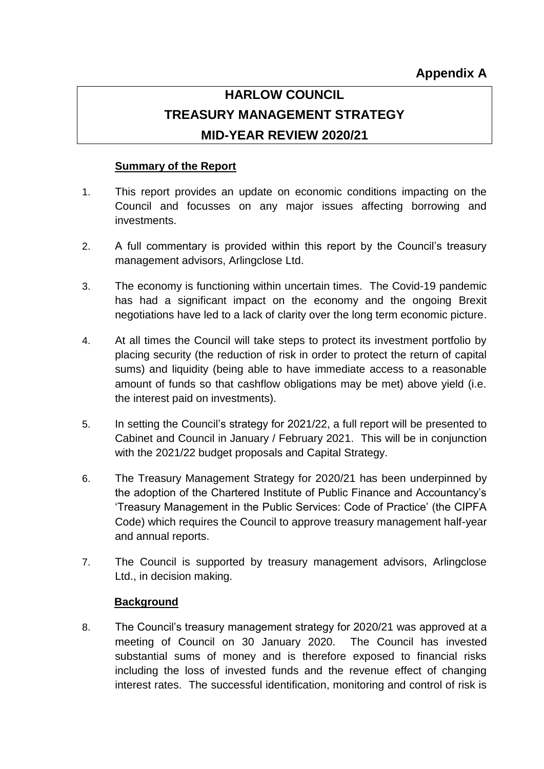# **HARLOW COUNCIL TREASURY MANAGEMENT STRATEGY MID-YEAR REVIEW 2020/21**

# **Summary of the Report**

- 1. This report provides an update on economic conditions impacting on the Council and focusses on any major issues affecting borrowing and investments.
- 2. A full commentary is provided within this report by the Council's treasury management advisors, Arlingclose Ltd.
- 3. The economy is functioning within uncertain times. The Covid-19 pandemic has had a significant impact on the economy and the ongoing Brexit negotiations have led to a lack of clarity over the long term economic picture.
- 4. At all times the Council will take steps to protect its investment portfolio by placing security (the reduction of risk in order to protect the return of capital sums) and liquidity (being able to have immediate access to a reasonable amount of funds so that cashflow obligations may be met) above yield (i.e. the interest paid on investments).
- 5. In setting the Council's strategy for 2021/22, a full report will be presented to Cabinet and Council in January / February 2021. This will be in conjunction with the 2021/22 budget proposals and Capital Strategy.
- 6. The Treasury Management Strategy for 2020/21 has been underpinned by the adoption of the Chartered Institute of Public Finance and Accountancy's 'Treasury Management in the Public Services: Code of Practice' (the CIPFA Code) which requires the Council to approve treasury management half-year and annual reports.
- 7. The Council is supported by treasury management advisors, Arlingclose Ltd., in decision making.

# **Background**

8. The Council's treasury management strategy for 2020/21 was approved at a meeting of Council on 30 January 2020. The Council has invested substantial sums of money and is therefore exposed to financial risks including the loss of invested funds and the revenue effect of changing interest rates. The successful identification, monitoring and control of risk is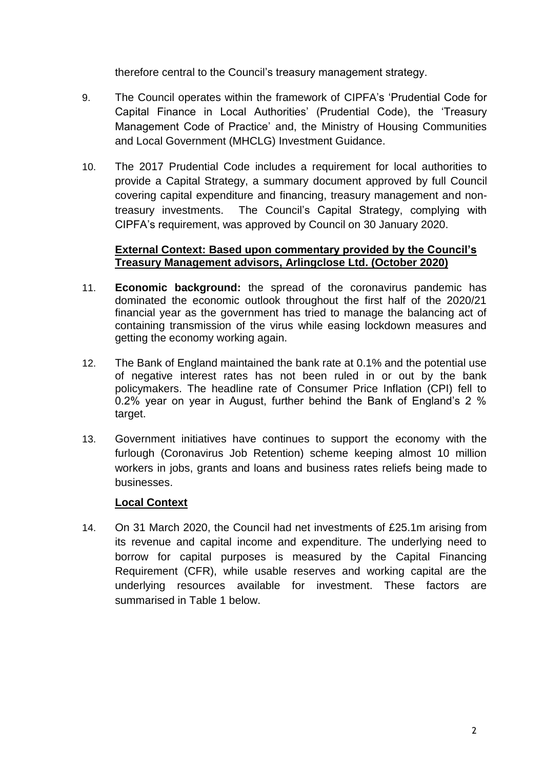therefore central to the Council's treasury management strategy.

- 9. The Council operates within the framework of CIPFA's 'Prudential Code for Capital Finance in Local Authorities' (Prudential Code), the 'Treasury Management Code of Practice' and, the Ministry of Housing Communities and Local Government (MHCLG) Investment Guidance.
- 10. The 2017 Prudential Code includes a requirement for local authorities to provide a Capital Strategy, a summary document approved by full Council covering capital expenditure and financing, treasury management and nontreasury investments. The Council's Capital Strategy, complying with CIPFA's requirement, was approved by Council on 30 January 2020.

## **External Context: Based upon commentary provided by the Council's Treasury Management advisors, Arlingclose Ltd. (October 2020)**

- 11. **Economic background:** the spread of the coronavirus pandemic has dominated the economic outlook throughout the first half of the 2020/21 financial year as the government has tried to manage the balancing act of containing transmission of the virus while easing lockdown measures and getting the economy working again.
- 12. The Bank of England maintained the bank rate at 0.1% and the potential use of negative interest rates has not been ruled in or out by the bank policymakers. The headline rate of Consumer Price Inflation (CPI) fell to 0.2% year on year in August, further behind the Bank of England's 2 % target.
- 13. Government initiatives have continues to support the economy with the furlough (Coronavirus Job Retention) scheme keeping almost 10 million workers in jobs, grants and loans and business rates reliefs being made to businesses.

# **Local Context**

14. On 31 March 2020, the Council had net investments of £25.1m arising from its revenue and capital income and expenditure. The underlying need to borrow for capital purposes is measured by the Capital Financing Requirement (CFR), while usable reserves and working capital are the underlying resources available for investment. These factors are summarised in Table 1 below.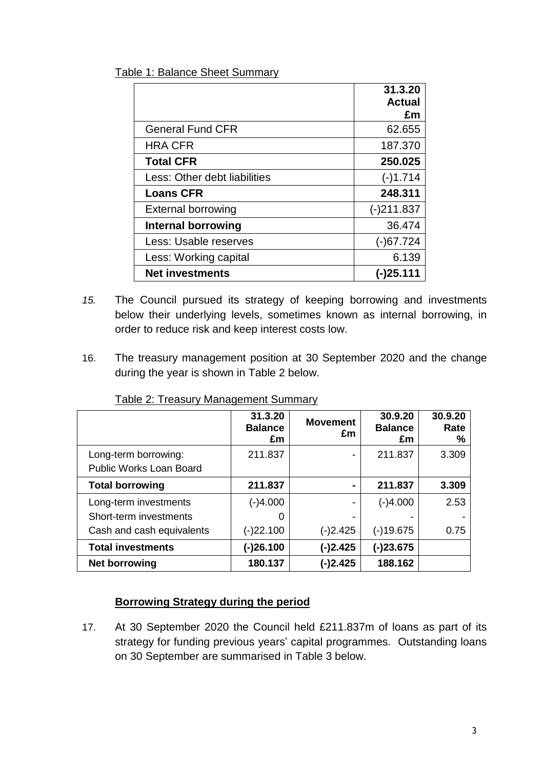|                              | 31.3.20      |
|------------------------------|--------------|
|                              | Actual       |
|                              | £m           |
| <b>General Fund CFR</b>      | 62.655       |
| <b>HRA CFR</b>               | 187.370      |
| <b>Total CFR</b>             | 250.025      |
| Less: Other debt liabilities | $(-)1.714$   |
| <b>Loans CFR</b>             | 248.311      |
| <b>External borrowing</b>    | $(-)211.837$ |
| Internal borrowing           | 36.474       |
| Less: Usable reserves        | $(-)67.724$  |
| Less: Working capital        | 6.139        |
| <b>Net investments</b>       |              |

- *15.* The Council pursued its strategy of keeping borrowing and investments below their underlying levels, sometimes known as internal borrowing, in order to reduce risk and keep interest costs low.
- 16. The treasury management position at 30 September 2020 and the change during the year is shown in Table 2 below.

|                           | 31.3.20<br><b>Balance</b><br>£m | <b>Movement</b><br>£m    | 30.9.20<br><b>Balance</b><br>£m | 30.9.20<br>Rate<br>$\%$ |
|---------------------------|---------------------------------|--------------------------|---------------------------------|-------------------------|
| Long-term borrowing:      | 211.837                         | $\blacksquare$           | 211.837                         | 3.309                   |
| Public Works Loan Board   |                                 |                          |                                 |                         |
| <b>Total borrowing</b>    | 211.837                         | $\blacksquare$           | 211.837                         | 3.309                   |
| Long-term investments     | (-)4.000                        | $\overline{\phantom{0}}$ | (-)4.000                        | 2.53                    |
| Short-term investments    | O                               |                          |                                 |                         |
| Cash and cash equivalents | $(-)22.100$                     | $(-)2.425$               | $(-)19.675$                     | 0.75                    |
| <b>Total investments</b>  | $(-)26.100$                     | $(-)2.425$               | $(-)23.675$                     |                         |
| Net borrowing             | 180.137                         | $(-)2.425$               | 188.162                         |                         |

Table 2: Treasury Management Summary

# **Borrowing Strategy during the period**

17. At 30 September 2020 the Council held £211.837m of loans as part of its strategy for funding previous years' capital programmes. Outstanding loans on 30 September are summarised in Table 3 below.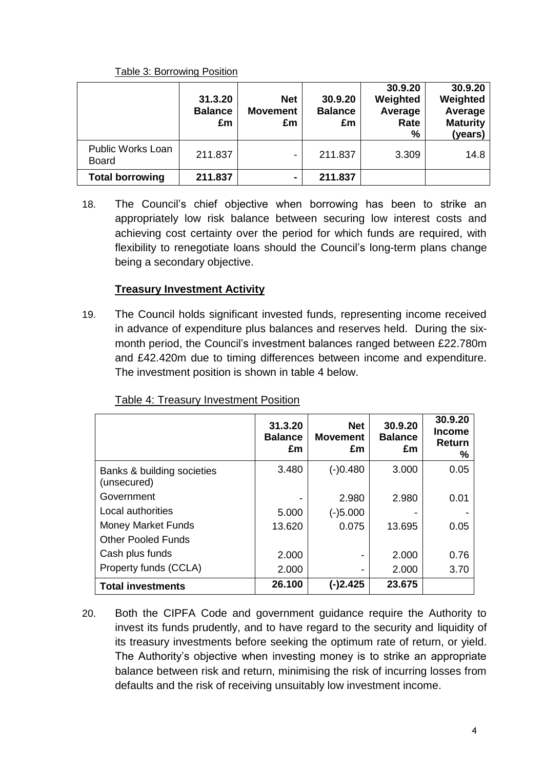## Table 3: Borrowing Position

|                                          | 31.3.20<br><b>Balance</b><br>£m | <b>Net</b><br><b>Movement</b><br>£m | 30.9.20<br><b>Balance</b><br>£m | 30.9.20<br>Weighted<br>Average<br>Rate<br>% | 30.9.20<br>Weighted<br>Average<br><b>Maturity</b><br>(years) |
|------------------------------------------|---------------------------------|-------------------------------------|---------------------------------|---------------------------------------------|--------------------------------------------------------------|
| <b>Public Works Loan</b><br><b>Board</b> | 211.837                         |                                     | 211.837                         | 3.309                                       | 14.8                                                         |
| <b>Total borrowing</b>                   | 211.837                         | $\blacksquare$                      | 211.837                         |                                             |                                                              |

18. The Council's chief objective when borrowing has been to strike an appropriately low risk balance between securing low interest costs and achieving cost certainty over the period for which funds are required, with flexibility to renegotiate loans should the Council's long-term plans change being a secondary objective.

# **Treasury Investment Activity**

19. The Council holds significant invested funds, representing income received in advance of expenditure plus balances and reserves held. During the sixmonth period, the Council's investment balances ranged between £22.780m and £42.420m due to timing differences between income and expenditure. The investment position is shown in table 4 below.

|                                           | 31.3.20<br><b>Balance</b><br>£m | <b>Net</b><br><b>Movement</b><br>£m | 30.9.20<br><b>Balance</b><br>£m | 30.9.20<br><b>Income</b><br><b>Return</b><br>℅ |
|-------------------------------------------|---------------------------------|-------------------------------------|---------------------------------|------------------------------------------------|
| Banks & building societies<br>(unsecured) | 3.480                           | (-)0.480                            | 3.000                           | 0.05                                           |
| Government                                |                                 | 2.980                               | 2.980                           | 0.01                                           |
| Local authorities                         | 5.000                           | $(-)5.000$                          |                                 |                                                |
| <b>Money Market Funds</b>                 | 13.620                          | 0.075                               | 13.695                          | 0.05                                           |
| <b>Other Pooled Funds</b>                 |                                 |                                     |                                 |                                                |
| Cash plus funds                           | 2.000                           |                                     | 2.000                           | 0.76                                           |
| Property funds (CCLA)                     | 2.000                           |                                     | 2.000                           | 3.70                                           |
| <b>Total investments</b>                  | 26.100                          | (-)2.425                            | 23.675                          |                                                |

Table 4: Treasury Investment Position

20. Both the CIPFA Code and government guidance require the Authority to invest its funds prudently, and to have regard to the security and liquidity of its treasury investments before seeking the optimum rate of return, or yield. The Authority's objective when investing money is to strike an appropriate balance between risk and return, minimising the risk of incurring losses from defaults and the risk of receiving unsuitably low investment income.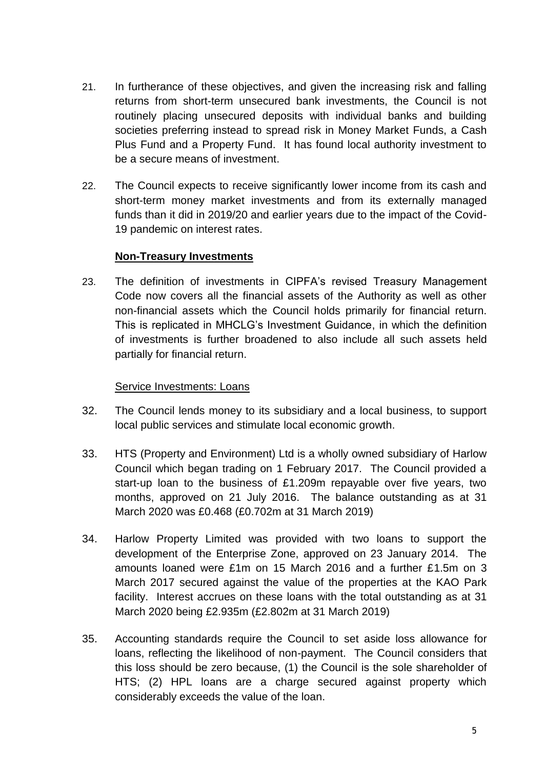- 21. In furtherance of these objectives, and given the increasing risk and falling returns from short-term unsecured bank investments, the Council is not routinely placing unsecured deposits with individual banks and building societies preferring instead to spread risk in Money Market Funds, a Cash Plus Fund and a Property Fund. It has found local authority investment to be a secure means of investment.
- 22. The Council expects to receive significantly lower income from its cash and short-term money market investments and from its externally managed funds than it did in 2019/20 and earlier years due to the impact of the Covid-19 pandemic on interest rates.

## **Non-Treasury Investments**

23. The definition of investments in CIPFA's revised Treasury Management Code now covers all the financial assets of the Authority as well as other non-financial assets which the Council holds primarily for financial return. This is replicated in MHCLG's Investment Guidance, in which the definition of investments is further broadened to also include all such assets held partially for financial return.

## Service Investments: Loans

- 32. The Council lends money to its subsidiary and a local business, to support local public services and stimulate local economic growth.
- 33. HTS (Property and Environment) Ltd is a wholly owned subsidiary of Harlow Council which began trading on 1 February 2017. The Council provided a start-up loan to the business of £1.209m repayable over five years, two months, approved on 21 July 2016. The balance outstanding as at 31 March 2020 was £0.468 (£0.702m at 31 March 2019)
- 34. Harlow Property Limited was provided with two loans to support the development of the Enterprise Zone, approved on 23 January 2014. The amounts loaned were £1m on 15 March 2016 and a further £1.5m on 3 March 2017 secured against the value of the properties at the KAO Park facility. Interest accrues on these loans with the total outstanding as at 31 March 2020 being £2.935m (£2.802m at 31 March 2019)
- 35. Accounting standards require the Council to set aside loss allowance for loans, reflecting the likelihood of non-payment. The Council considers that this loss should be zero because, (1) the Council is the sole shareholder of HTS; (2) HPL loans are a charge secured against property which considerably exceeds the value of the loan.